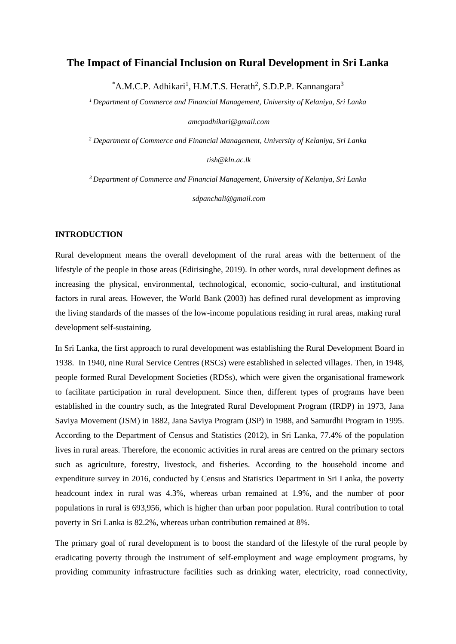# **The Impact of Financial Inclusion on Rural Development in Sri Lanka**

\*A.M.C.P. Adhikari<sup>1</sup>, H.M.T.S. Herath<sup>2</sup>, S.D.P.P. Kannangara<sup>3</sup>

*<sup>1</sup>Department of Commerce and Financial Management, University of Kelaniya, Sri Lanka*

*amcpadhikari@gmail.com*

*<sup>2</sup> Department of Commerce and Financial Management, University of Kelaniya, Sri Lanka*

*tish@kln.ac.lk*

*<sup>3</sup>Department of Commerce and Financial Management, University of Kelaniya, Sri Lanka*

*sdpanchali@gmail.com*

### **INTRODUCTION**

Rural development means the overall development of the rural areas with the betterment of the lifestyle of the people in those areas (Edirisinghe, 2019). In other words, rural development defines as increasing the physical, environmental, technological, economic, socio-cultural, and institutional factors in rural areas. However, the World Bank (2003) has defined rural development as improving the living standards of the masses of the low-income populations residing in rural areas, making rural development self-sustaining.

In Sri Lanka, the first approach to rural development was establishing the Rural Development Board in 1938. In 1940, nine Rural Service Centres (RSCs) were established in selected villages. Then, in 1948, people formed Rural Development Societies (RDSs), which were given the organisational framework to facilitate participation in rural development. Since then, different types of programs have been established in the country such, as the Integrated Rural Development Program (IRDP) in 1973, Jana Saviya Movement (JSM) in 1882, Jana Saviya Program (JSP) in 1988, and Samurdhi Program in 1995. According to the Department of Census and Statistics (2012), in Sri Lanka, 77.4% of the population lives in rural areas. Therefore, the economic activities in rural areas are centred on the primary sectors such as agriculture, forestry, livestock, and fisheries. According to the household income and expenditure survey in 2016, conducted by Census and Statistics Department in Sri Lanka, the poverty headcount index in rural was 4.3%, whereas urban remained at 1.9%, and the number of poor populations in rural is 693,956, which is higher than urban poor population. Rural contribution to total poverty in Sri Lanka is 82.2%, whereas urban contribution remained at 8%.

The primary goal of rural development is to boost the standard of the lifestyle of the rural people by eradicating poverty through the instrument of self-employment and wage employment programs, by providing community infrastructure facilities such as drinking water, electricity, road connectivity,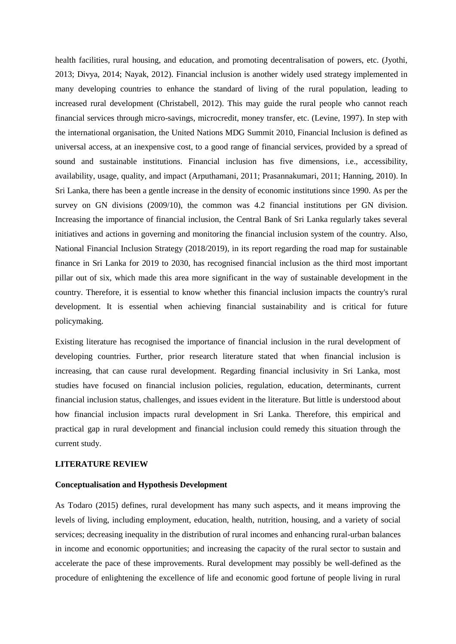health facilities, rural housing, and education, and promoting decentralisation of powers, etc. (Jyothi, 2013; Divya, 2014; Nayak, 2012). Financial inclusion is another widely used strategy implemented in many developing countries to enhance the standard of living of the rural population, leading to increased rural development (Christabell, 2012). This may guide the rural people who cannot reach financial services through micro-savings, microcredit, money transfer, etc. (Levine, 1997). In step with the international organisation, the United Nations MDG Summit 2010, Financial Inclusion is defined as universal access, at an inexpensive cost, to a good range of financial services, provided by a spread of sound and sustainable institutions. Financial inclusion has five dimensions, i.e., accessibility, availability, usage, quality, and impact (Arputhamani, 2011; Prasannakumari, 2011; Hanning, 2010). In Sri Lanka, there has been a gentle increase in the density of economic institutions since 1990. As per the survey on GN divisions (2009/10), the common was 4.2 financial institutions per GN division. Increasing the importance of financial inclusion, the Central Bank of Sri Lanka regularly takes several initiatives and actions in governing and monitoring the financial inclusion system of the country. Also, National Financial Inclusion Strategy (2018/2019), in its report regarding the road map for sustainable finance in Sri Lanka for 2019 to 2030, has recognised financial inclusion as the third most important pillar out of six, which made this area more significant in the way of sustainable development in the country. Therefore, it is essential to know whether this financial inclusion impacts the country's rural development. It is essential when achieving financial sustainability and is critical for future policymaking.

Existing literature has recognised the importance of financial inclusion in the rural development of developing countries. Further, prior research literature stated that when financial inclusion is increasing, that can cause rural development. Regarding financial inclusivity in Sri Lanka, most studies have focused on financial inclusion policies, regulation, education, determinants, current financial inclusion status, challenges, and issues evident in the literature. But little is understood about how financial inclusion impacts rural development in Sri Lanka. Therefore, this empirical and practical gap in rural development and financial inclusion could remedy this situation through the current study.

## **LITERATURE REVIEW**

#### **Conceptualisation and Hypothesis Development**

As Todaro (2015) defines, rural development has many such aspects, and it means improving the levels of living, including employment, education, health, nutrition, housing, and a variety of social services; decreasing inequality in the distribution of rural incomes and enhancing rural-urban balances in income and economic opportunities; and increasing the capacity of the rural sector to sustain and accelerate the pace of these improvements. Rural development may possibly be well-defined as the procedure of enlightening the excellence of life and economic good fortune of people living in rural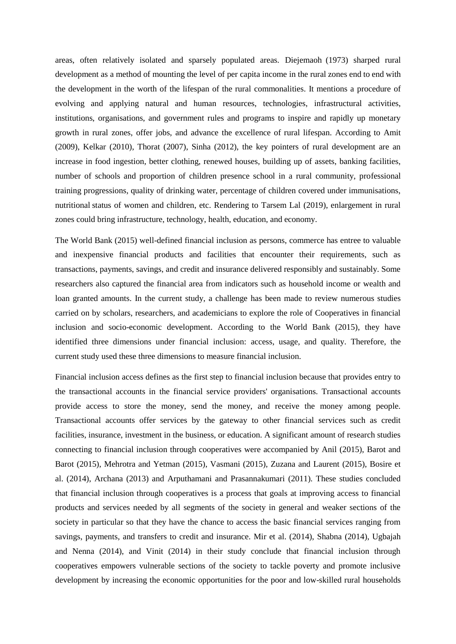areas, often relatively isolated and sparsely populated areas. Diejemaoh (1973) sharped rural development as a method of mounting the level of per capita income in the rural zones end to end with the development in the worth of the lifespan of the rural commonalities. It mentions a procedure of evolving and applying natural and human resources, technologies, infrastructural activities, institutions, organisations, and government rules and programs to inspire and rapidly up monetary growth in rural zones, offer jobs, and advance the excellence of rural lifespan. According to Amit (2009), Kelkar (2010), Thorat (2007), Sinha (2012), the key pointers of rural development are an increase in food ingestion, better clothing, renewed houses, building up of assets, banking facilities, number of schools and proportion of children presence school in a rural community, professional training progressions, quality of drinking water, percentage of children covered under immunisations, nutritional status of women and children, etc. Rendering to Tarsem Lal (2019), enlargement in rural zones could bring infrastructure, technology, health, education, and economy.

The World Bank (2015) well-defined financial inclusion as persons, commerce has entree to valuable and inexpensive financial products and facilities that encounter their requirements, such as transactions, payments, savings, and credit and insurance delivered responsibly and sustainably. Some researchers also captured the financial area from indicators such as household income or wealth and loan granted amounts. In the current study, a challenge has been made to review numerous studies carried on by scholars, researchers, and academicians to explore the role of Cooperatives in financial inclusion and socio-economic development. According to the World Bank (2015), they have identified three dimensions under financial inclusion: access, usage, and quality. Therefore, the current study used these three dimensions to measure financial inclusion.

Financial inclusion access defines as the first step to financial inclusion because that provides entry to the transactional accounts in the financial service providers' organisations. Transactional accounts provide access to store the money, send the money, and receive the money among people. Transactional accounts offer services by the gateway to other financial services such as credit facilities, insurance, investment in the business, or education. A significant amount of research studies connecting to financial inclusion through cooperatives were accompanied by Anil (2015), Barot and Barot (2015), Mehrotra and Yetman (2015), Vasmani (2015), Zuzana and Laurent (2015), Bosire et al. (2014), Archana (2013) and Arputhamani and Prasannakumari (2011). These studies concluded that financial inclusion through cooperatives is a process that goals at improving access to financial products and services needed by all segments of the society in general and weaker sections of the society in particular so that they have the chance to access the basic financial services ranging from savings, payments, and transfers to credit and insurance. Mir et al. (2014), Shabna (2014), Ugbajah and Nenna (2014), and Vinit (2014) in their study conclude that financial inclusion through cooperatives empowers vulnerable sections of the society to tackle poverty and promote inclusive development by increasing the economic opportunities for the poor and low-skilled rural households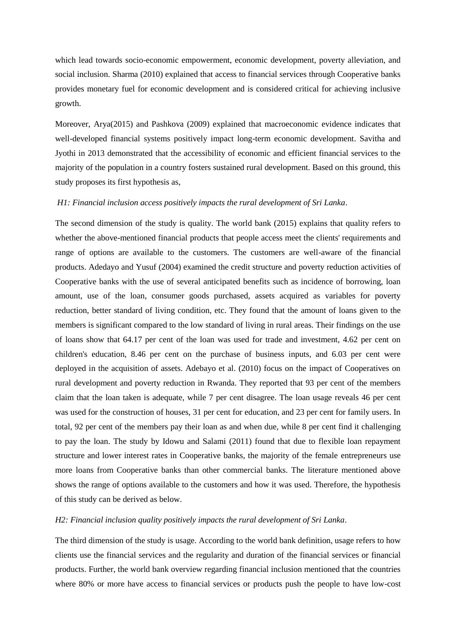which lead towards socio-economic empowerment, economic development, poverty alleviation, and social inclusion. Sharma (2010) explained that access to financial services through Cooperative banks provides monetary fuel for economic development and is considered critical for achieving inclusive growth.

Moreover, Arya(2015) and Pashkova (2009) explained that macroeconomic evidence indicates that well-developed financial systems positively impact long-term economic development. Savitha and Jyothi in 2013 demonstrated that the accessibility of economic and efficient financial services to the majority of the population in a country fosters sustained rural development. Based on this ground, this study proposes its first hypothesis as,

## *H1: Financial inclusion access positively impacts the rural development of Sri Lanka*.

The second dimension of the study is quality. The world bank (2015) explains that quality refers to whether the above-mentioned financial products that people access meet the clients' requirements and range of options are available to the customers. The customers are well-aware of the financial products. Adedayo and Yusuf (2004) examined the credit structure and poverty reduction activities of Cooperative banks with the use of several anticipated benefits such as incidence of borrowing, loan amount, use of the loan, consumer goods purchased, assets acquired as variables for poverty reduction, better standard of living condition, etc. They found that the amount of loans given to the members is significant compared to the low standard of living in rural areas. Their findings on the use of loans show that 64.17 per cent of the loan was used for trade and investment, 4.62 per cent on children's education, 8.46 per cent on the purchase of business inputs, and 6.03 per cent were deployed in the acquisition of assets. Adebayo et al. (2010) focus on the impact of Cooperatives on rural development and poverty reduction in Rwanda. They reported that 93 per cent of the members claim that the loan taken is adequate, while 7 per cent disagree. The loan usage reveals 46 per cent was used for the construction of houses, 31 per cent for education, and 23 per cent for family users. In total, 92 per cent of the members pay their loan as and when due, while 8 per cent find it challenging to pay the loan. The study by Idowu and Salami (2011) found that due to flexible loan repayment structure and lower interest rates in Cooperative banks, the majority of the female entrepreneurs use more loans from Cooperative banks than other commercial banks. The literature mentioned above shows the range of options available to the customers and how it was used. Therefore, the hypothesis of this study can be derived as below.

#### *H2: Financial inclusion quality positively impacts the rural development of Sri Lanka*.

The third dimension of the study is usage. According to the world bank definition, usage refers to how clients use the financial services and the regularity and duration of the financial services or financial products. Further, the world bank overview regarding financial inclusion mentioned that the countries where 80% or more have access to financial services or products push the people to have low-cost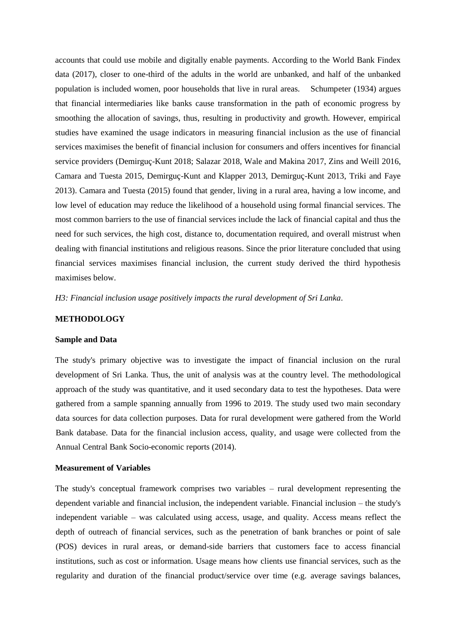accounts that could use mobile and digitally enable payments. According to the World Bank Findex data (2017), closer to one-third of the adults in the world are unbanked, and half of the unbanked population is included women, poor households that live in rural areas. Schumpeter (1934) argues that financial intermediaries like banks cause transformation in the path of economic progress by smoothing the allocation of savings, thus, resulting in productivity and growth. However, empirical studies have examined the usage indicators in measuring financial inclusion as the use of financial services maximises the benefit of financial inclusion for consumers and offers incentives for financial service providers (Demirguç-Kunt 2018; Salazar 2018, Wale and Makina 2017, Zins and Weill 2016, Camara and Tuesta 2015, Demirguç-Kunt and Klapper 2013, Demirguç-Kunt 2013, Triki and Faye 2013). Camara and Tuesta (2015) found that gender, living in a rural area, having a low income, and low level of education may reduce the likelihood of a household using formal financial services. The most common barriers to the use of financial services include the lack of financial capital and thus the need for such services, the high cost, distance to, documentation required, and overall mistrust when dealing with financial institutions and religious reasons. Since the prior literature concluded that using financial services maximises financial inclusion, the current study derived the third hypothesis maximises below.

*H3: Financial inclusion usage positively impacts the rural development of Sri Lanka*.

## **METHODOLOGY**

#### **Sample and Data**

The study's primary objective was to investigate the impact of financial inclusion on the rural development of Sri Lanka. Thus, the unit of analysis was at the country level. The methodological approach of the study was quantitative, and it used secondary data to test the hypotheses. Data were gathered from a sample spanning annually from 1996 to 2019. The study used two main secondary data sources for data collection purposes. Data for rural development were gathered from the World Bank database. Data for the financial inclusion access, quality, and usage were collected from the Annual Central Bank Socio-economic reports (2014).

#### **Measurement of Variables**

The study's conceptual framework comprises two variables – rural development representing the dependent variable and financial inclusion, the independent variable. Financial inclusion – the study's independent variable – was calculated using access, usage, and quality. Access means reflect the depth of outreach of financial services, such as the penetration of bank branches or point of sale (POS) devices in rural areas, or demand-side barriers that customers face to access financial institutions, such as cost or information. Usage means how clients use financial services, such as the regularity and duration of the financial product/service over time (e.g. average savings balances,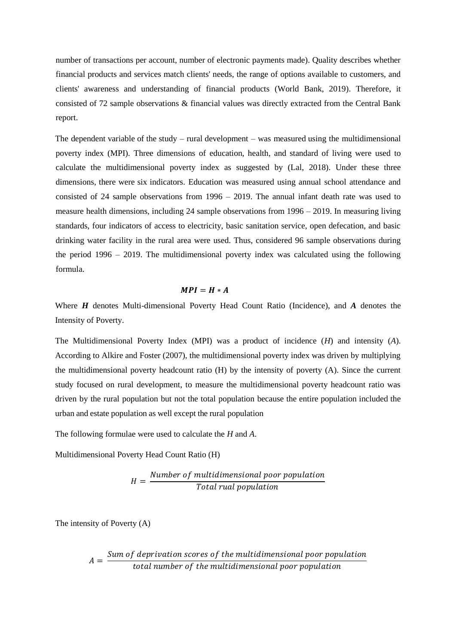number of transactions per account, number of electronic payments made). Quality describes whether financial products and services match clients' needs, the range of options available to customers, and clients' awareness and understanding of financial products (World Bank, 2019). Therefore, it consisted of 72 sample observations & financial values was directly extracted from the Central Bank report.

The dependent variable of the study – rural development – was measured using the multidimensional poverty index (MPI). Three dimensions of education, health, and standard of living were used to calculate the multidimensional poverty index as suggested by (Lal, 2018). Under these three dimensions, there were six indicators. Education was measured using annual school attendance and consisted of 24 sample observations from 1996 – 2019. The annual infant death rate was used to measure health dimensions, including 24 sample observations from 1996 – 2019. In measuring living standards, four indicators of access to electricity, basic sanitation service, open defecation, and basic drinking water facility in the rural area were used. Thus, considered 96 sample observations during the period 1996 – 2019. The multidimensional poverty index was calculated using the following formula.

### $MPI = H * A$

Where *H* denotes Multi-dimensional Poverty Head Count Ratio (Incidence), and *A* denotes the Intensity of Poverty.

The Multidimensional Poverty Index (MPI) was a product of incidence (*H*) and intensity (*A*). According to Alkire and Foster (2007), the multidimensional poverty index was driven by multiplying the multidimensional poverty headcount ratio (H) by the intensity of poverty (A). Since the current study focused on rural development, to measure the multidimensional poverty headcount ratio was driven by the rural population but not the total population because the entire population included the urban and estate population as well except the rural population

The following formulae were used to calculate the *H* and *A*.

Multidimensional Poverty Head Count Ratio (H)

$$
H = \frac{Number\ of\ multidimensional\ poor\ population}{Total\ rural\ population}
$$

The intensity of Poverty (A)

 $A=$ Sum of deprivation scores of the multidimensional poor population  $\,$ total number of the multidimensional poor population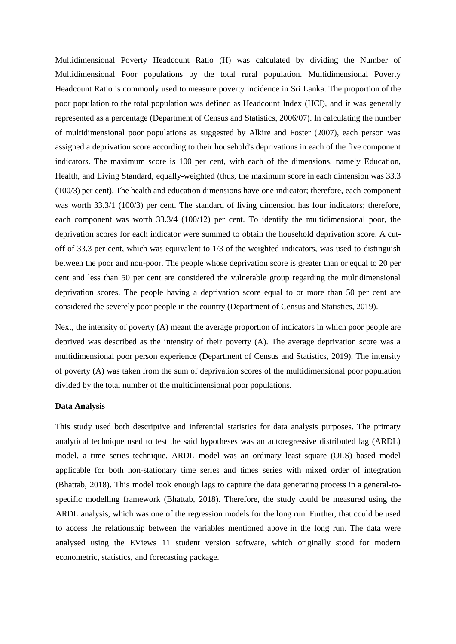Multidimensional Poverty Headcount Ratio (H) was calculated by dividing the Number of Multidimensional Poor populations by the total rural population. Multidimensional Poverty Headcount Ratio is commonly used to measure poverty incidence in Sri Lanka. The proportion of the poor population to the total population was defined as Headcount Index (HCI), and it was generally represented as a percentage (Department of Census and Statistics, 2006/07). In calculating the number of multidimensional poor populations as suggested by Alkire and Foster (2007), each person was assigned a deprivation score according to their household's deprivations in each of the five component indicators. The maximum score is 100 per cent, with each of the dimensions, namely Education, Health, and Living Standard, equally-weighted (thus, the maximum score in each dimension was 33.3 (100/3) per cent). The health and education dimensions have one indicator; therefore, each component was worth 33.3/1 (100/3) per cent. The standard of living dimension has four indicators; therefore, each component was worth 33.3/4 (100/12) per cent. To identify the multidimensional poor, the deprivation scores for each indicator were summed to obtain the household deprivation score. A cutoff of 33.3 per cent, which was equivalent to 1/3 of the weighted indicators, was used to distinguish between the poor and non-poor. The people whose deprivation score is greater than or equal to 20 per cent and less than 50 per cent are considered the vulnerable group regarding the multidimensional deprivation scores. The people having a deprivation score equal to or more than 50 per cent are considered the severely poor people in the country (Department of Census and Statistics, 2019).

Next, the intensity of poverty (A) meant the average proportion of indicators in which poor people are deprived was described as the intensity of their poverty (A). The average deprivation score was a multidimensional poor person experience (Department of Census and Statistics, 2019). The intensity of poverty (A) was taken from the sum of deprivation scores of the multidimensional poor population divided by the total number of the multidimensional poor populations.

## **Data Analysis**

This study used both descriptive and inferential statistics for data analysis purposes. The primary analytical technique used to test the said hypotheses was an autoregressive distributed lag (ARDL) model, a time series technique. ARDL model was an ordinary least square (OLS) based model applicable for both non-stationary time series and times series with mixed order of integration (Bhattab, 2018). This model took enough lags to capture the data generating process in a general-tospecific modelling framework (Bhattab, 2018). Therefore, the study could be measured using the ARDL analysis, which was one of the regression models for the long run. Further, that could be used to access the relationship between the variables mentioned above in the long run. The data were analysed using the EViews 11 student version software, which originally stood for modern econometric, statistics, and forecasting package.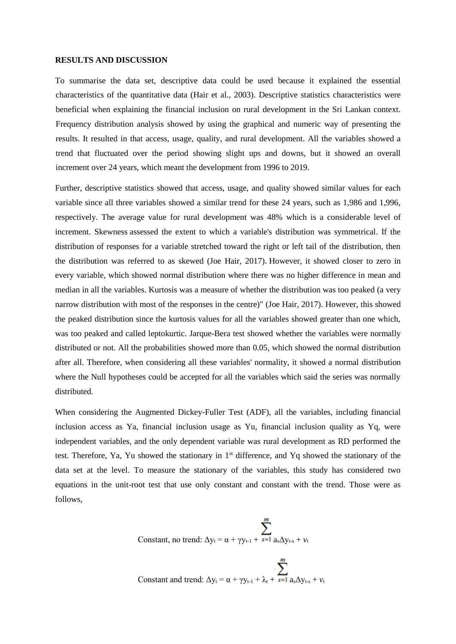#### **RESULTS AND DISCUSSION**

To summarise the data set, descriptive data could be used because it explained the essential characteristics of the quantitative data (Hair et al., 2003). Descriptive statistics characteristics were beneficial when explaining the financial inclusion on rural development in the Sri Lankan context. Frequency distribution analysis showed by using the graphical and numeric way of presenting the results. It resulted in that access, usage, quality, and rural development. All the variables showed a trend that fluctuated over the period showing slight ups and downs, but it showed an overall increment over 24 years, which meant the development from 1996 to 2019.

Further, descriptive statistics showed that access, usage, and quality showed similar values for each variable since all three variables showed a similar trend for these 24 years, such as 1,986 and 1,996, respectively. The average value for rural development was 48% which is a considerable level of increment. Skewness assessed the extent to which a variable's distribution was symmetrical. If the distribution of responses for a variable stretched toward the right or left tail of the distribution, then the distribution was referred to as skewed (Joe Hair, 2017). However, it showed closer to zero in every variable, which showed normal distribution where there was no higher difference in mean and median in all the variables. Kurtosis was a measure of whether the distribution was too peaked (a very narrow distribution with most of the responses in the centre)" (Joe Hair, 2017). However, this showed the peaked distribution since the kurtosis values for all the variables showed greater than one which, was too peaked and called leptokurtic. Jarque-Bera test showed whether the variables were normally distributed or not. All the probabilities showed more than 0.05, which showed the normal distribution after all. Therefore, when considering all these variables' normality, it showed a normal distribution where the Null hypotheses could be accepted for all the variables which said the series was normally distributed.

When considering the Augmented Dickey-Fuller Test (ADF), all the variables, including financial inclusion access as Ya, financial inclusion usage as Yu, financial inclusion quality as Yq, were independent variables, and the only dependent variable was rural development as RD performed the test. Therefore, Ya, Yu showed the stationary in 1<sup>st</sup> difference, and Yq showed the stationary of the data set at the level. To measure the stationary of the variables, this study has considered two equations in the unit-root test that use only constant and constant with the trend. Those were as follows,

$$
\sum_{\text{Constant, no trend: } \Delta y_t = \alpha + \gamma y_{t-1} + \sum_{s=1}^{m} a_s \Delta y_{t-s} + \nu_t}
$$

Constant and trend:  $\Delta y_t = \alpha + \gamma y_{t-1} + \lambda_t + \sum_{s=1}^m a_s \Delta y_{t-s} + v_t$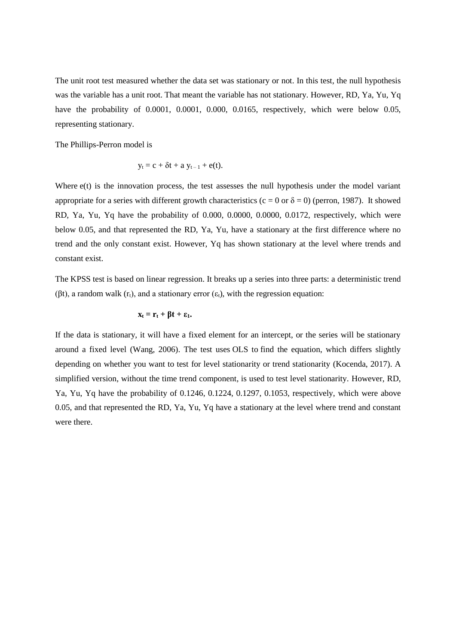The unit root test measured whether the data set was stationary or not. In this test, the null hypothesis was the variable has a unit root. That meant the variable has not stationary. However, RD, Ya, Yu, Yq have the probability of 0.0001, 0.0001, 0.000, 0.0165, respectively, which were below 0.05, representing stationary.

The Phillips-Perron model is

$$
y_t = c + \delta t + a y_{t-1} + e(t).
$$

Where  $e(t)$  is the innovation process, the test assesses the null hypothesis under the model variant appropriate for a series with different growth characteristics (c = 0 or  $\delta$  = 0) (perron, 1987). It showed RD, Ya, Yu, Yq have the probability of 0.000, 0.0000, 0.0000, 0.0172, respectively, which were below 0.05, and that represented the RD, Ya, Yu, have a stationary at the first difference where no trend and the only constant exist. However, Yq has shown stationary at the level where trends and constant exist.

The KPSS test is based on linear regression. It breaks up a series into three parts: a deterministic trend (βt), a random walk ( $r_t$ ), and a stationary error ( $\varepsilon_t$ ), with the regression equation:

$$
x_t = r_t + \beta t + \epsilon_1.
$$

If the data is stationary, it will have a fixed element for an intercept, or the series will be stationary around a fixed level (Wang, 2006). The test uses OLS to find the equation, which differs slightly depending on whether you want to test for level stationarity or trend stationarity (Kocenda, 2017). A simplified version, without the time trend component, is used to test level stationarity. However, RD, Ya, Yu, Yq have the probability of 0.1246, 0.1224, 0.1297, 0.1053, respectively, which were above 0.05, and that represented the RD, Ya, Yu, Yq have a stationary at the level where trend and constant were there.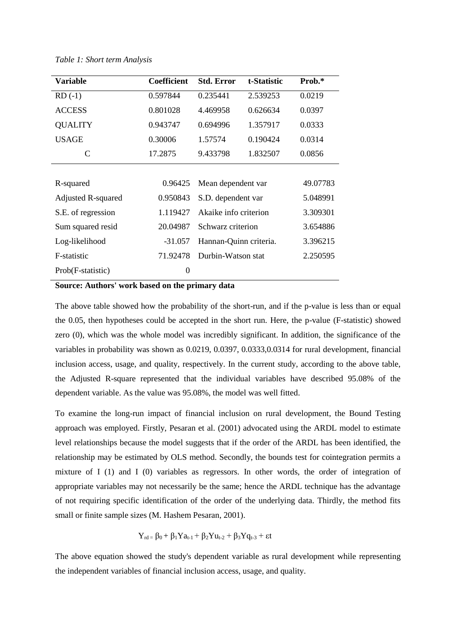| <b>Variable</b>           | <b>Coefficient</b> | <b>Std. Error</b>      | t-Statistic | Prob.*   |
|---------------------------|--------------------|------------------------|-------------|----------|
| $RD( -1)$                 | 0.597844           | 0.235441               | 2.539253    | 0.0219   |
| <b>ACCESS</b>             | 0.801028           | 4.469958               | 0.626634    | 0.0397   |
| <b>QUALITY</b>            | 0.943747           | 0.694996               | 1.357917    | 0.0333   |
| <b>USAGE</b>              | 0.30006            | 1.57574                | 0.190424    | 0.0314   |
| C                         | 17.2875            | 9.433798               | 1.832507    | 0.0856   |
|                           |                    |                        |             |          |
| R-squared                 | 0.96425            | Mean dependent var     |             | 49.07783 |
| <b>Adjusted R-squared</b> | 0.950843           | S.D. dependent var     |             | 5.048991 |
| S.E. of regression        | 1.119427           | Akaike info criterion  |             | 3.309301 |
| Sum squared resid         | 20.04987           | Schwarz criterion      |             | 3.654886 |
| Log-likelihood            | $-31.057$          | Hannan-Quinn criteria. |             | 3.396215 |
| F-statistic               | 71.92478           | Durbin-Watson stat     |             | 2.250595 |
| Prob(F-statistic)         | $\boldsymbol{0}$   |                        |             |          |

*Table 1: Short term Analysis*

**Source: Authors' work based on the primary data**

The above table showed how the probability of the short-run, and if the p-value is less than or equal the 0.05, then hypotheses could be accepted in the short run. Here, the p-value (F-statistic) showed zero (0), which was the whole model was incredibly significant. In addition, the significance of the variables in probability was shown as 0.0219, 0.0397, 0.0333,0.0314 for rural development, financial inclusion access, usage, and quality, respectively. In the current study, according to the above table, the Adjusted R-square represented that the individual variables have described 95.08% of the dependent variable. As the value was 95.08%, the model was well fitted.

To examine the long-run impact of financial inclusion on rural development, the Bound Testing approach was employed. Firstly, Pesaran et al. (2001) advocated using the ARDL model to estimate level relationships because the model suggests that if the order of the ARDL has been identified, the relationship may be estimated by OLS method. Secondly, the bounds test for cointegration permits a mixture of I (1) and I (0) variables as regressors. In other words, the order of integration of appropriate variables may not necessarily be the same; hence the ARDL technique has the advantage of not requiring specific identification of the order of the underlying data. Thirdly, the method fits small or finite sample sizes (M. Hashem Pesaran, 2001).

$$
Y_{rd} = \beta_0 + \beta_1 Y a_{t\text{-}1} + \beta_2 Y u_{t\text{-}2} + \beta_3 Y q_{t\text{-}3} + \epsilon t
$$

The above equation showed the study's dependent variable as rural development while representing the independent variables of financial inclusion access, usage, and quality.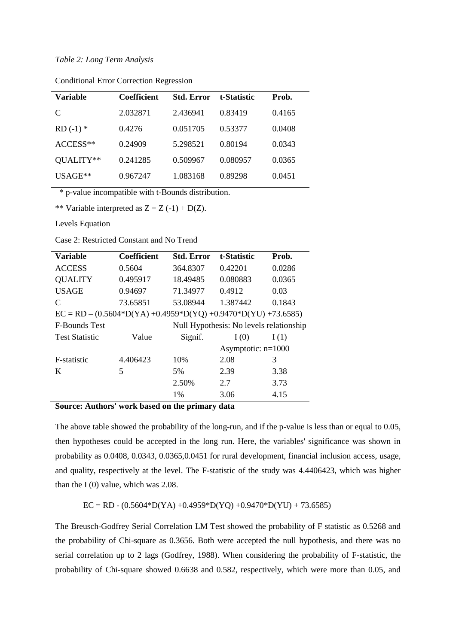### *Table 2: Long Term Analysis*

| Variable   | <b>Coefficient</b> | <b>Std. Error</b> | t-Statistic | Prob.  |
|------------|--------------------|-------------------|-------------|--------|
| C          | 2.032871           | 2.436941          | 0.83419     | 0.4165 |
| $RD(-1)$ * | 0.4276             | 0.051705          | 0.53377     | 0.0408 |
| $ACCESS**$ | 0.24909            | 5.298521          | 0.80194     | 0.0343 |
| OUALITY**  | 0.241285           | 0.509967          | 0.080957    | 0.0365 |
| $USAGE**$  | 0.967247           | 1.083168          | 0.89298     | 0.0451 |

Conditional Error Correction Regression

\* p-value incompatible with t-Bounds distribution.

\*\* Variable interpreted as  $Z = Z(-1) + D(Z)$ .

Levels Equation

Case 2: Restricted Constant and No Trend

| Variable                                                           | <b>Coefficient</b>                      | <b>Std. Error</b> | t-Statistic          | Prob.  |  |
|--------------------------------------------------------------------|-----------------------------------------|-------------------|----------------------|--------|--|
| <b>ACCESS</b>                                                      | 0.5604                                  | 364.8307          | 0.42201              | 0.0286 |  |
| <b>QUALITY</b>                                                     | 0.495917                                | 18.49485          | 0.080883             | 0.0365 |  |
| <b>USAGE</b>                                                       | 0.94697                                 | 71.34977          | 0.4912               | 0.03   |  |
| C                                                                  | 73.65851                                | 53.08944          | 1.387442             | 0.1843 |  |
| $EC = RD - (0.5604*D(YA) + 0.4959*D(YQ) + 0.9470*D(YU) + 73.6585)$ |                                         |                   |                      |        |  |
| <b>F-Bounds Test</b>                                               | Null Hypothesis: No levels relationship |                   |                      |        |  |
| <b>Test Statistic</b>                                              | Value                                   | Signif.           | I(0)                 | I(1)   |  |
|                                                                    |                                         |                   | Asymptotic: $n=1000$ |        |  |
| F-statistic                                                        | 4.406423                                | 10%               | 2.08                 | 3      |  |
| K                                                                  | 5                                       | 5%                | 2.39                 | 3.38   |  |
|                                                                    |                                         | 2.50%             | 2.7                  | 3.73   |  |
|                                                                    |                                         | $1\%$             | 3.06                 | 4.15   |  |

## **Source: Authors' work based on the primary data**

The above table showed the probability of the long-run, and if the p-value is less than or equal to 0.05, then hypotheses could be accepted in the long run. Here, the variables' significance was shown in probability as 0.0408, 0.0343, 0.0365,0.0451 for rural development, financial inclusion access, usage, and quality, respectively at the level. The F-statistic of the study was 4.4406423, which was higher than the I (0) value, which was 2.08.

 $EC = RD - (0.5604*D(YA) + 0.4959*D(YQ) + 0.9470*D(YU) + 73.6585)$ 

The Breusch-Godfrey Serial Correlation LM Test showed the probability of F statistic as 0.5268 and the probability of Chi-square as 0.3656. Both were accepted the null hypothesis, and there was no serial correlation up to 2 lags (Godfrey, 1988). When considering the probability of F-statistic, the probability of Chi-square showed 0.6638 and 0.582, respectively, which were more than 0.05, and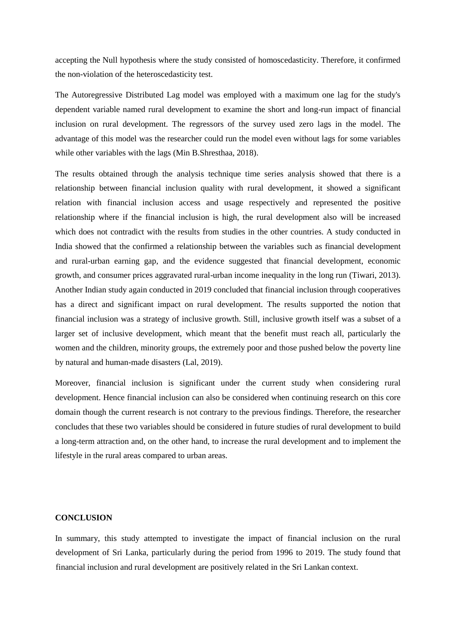accepting the Null hypothesis where the study consisted of homoscedasticity. Therefore, it confirmed the non-violation of the heteroscedasticity test.

The Autoregressive Distributed Lag model was employed with a maximum one lag for the study's dependent variable named rural development to examine the short and long-run impact of financial inclusion on rural development. The regressors of the survey used zero lags in the model. The advantage of this model was the researcher could run the model even without lags for some variables while other variables with the lags (Min B.Shresthaa, 2018).

The results obtained through the analysis technique time series analysis showed that there is a relationship between financial inclusion quality with rural development, it showed a significant relation with financial inclusion access and usage respectively and represented the positive relationship where if the financial inclusion is high, the rural development also will be increased which does not contradict with the results from studies in the other countries. A study conducted in India showed that the confirmed a relationship between the variables such as financial development and rural-urban earning gap, and the evidence suggested that financial development, economic growth, and consumer prices aggravated rural-urban income inequality in the long run (Tiwari, 2013). Another Indian study again conducted in 2019 concluded that financial inclusion through cooperatives has a direct and significant impact on rural development. The results supported the notion that financial inclusion was a strategy of inclusive growth. Still, inclusive growth itself was a subset of a larger set of inclusive development, which meant that the benefit must reach all, particularly the women and the children, minority groups, the extremely poor and those pushed below the poverty line by natural and human-made disasters (Lal, 2019).

Moreover, financial inclusion is significant under the current study when considering rural development. Hence financial inclusion can also be considered when continuing research on this core domain though the current research is not contrary to the previous findings. Therefore, the researcher concludes that these two variables should be considered in future studies of rural development to build a long-term attraction and, on the other hand, to increase the rural development and to implement the lifestyle in the rural areas compared to urban areas.

## **CONCLUSION**

In summary, this study attempted to investigate the impact of financial inclusion on the rural development of Sri Lanka, particularly during the period from 1996 to 2019. The study found that financial inclusion and rural development are positively related in the Sri Lankan context.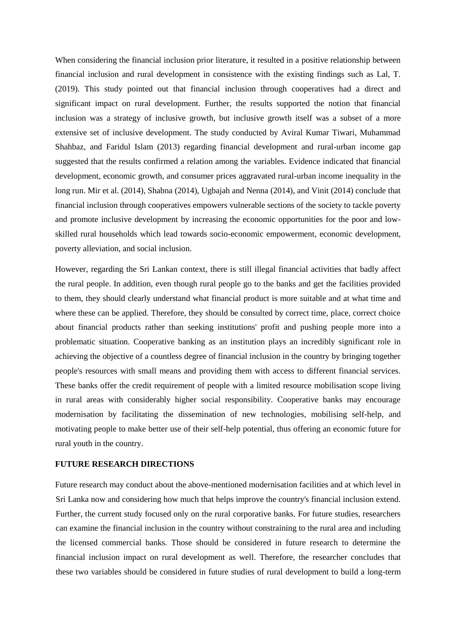When considering the financial inclusion prior literature, it resulted in a positive relationship between financial inclusion and rural development in consistence with the existing findings such as Lal, T. (2019). This study pointed out that financial inclusion through cooperatives had a direct and significant impact on rural development. Further, the results supported the notion that financial inclusion was a strategy of inclusive growth, but inclusive growth itself was a subset of a more extensive set of inclusive development. The study conducted by Aviral Kumar Tiwari, Muhammad Shahbaz, and Faridul Islam (2013) regarding financial development and rural-urban income gap suggested that the results confirmed a relation among the variables. Evidence indicated that financial development, economic growth, and consumer prices aggravated rural-urban income inequality in the long run. Mir et al. (2014), Shabna (2014), Ugbajah and Nenna (2014), and Vinit (2014) conclude that financial inclusion through cooperatives empowers vulnerable sections of the society to tackle poverty and promote inclusive development by increasing the economic opportunities for the poor and lowskilled rural households which lead towards socio-economic empowerment, economic development, poverty alleviation, and social inclusion.

However, regarding the Sri Lankan context, there is still illegal financial activities that badly affect the rural people. In addition, even though rural people go to the banks and get the facilities provided to them, they should clearly understand what financial product is more suitable and at what time and where these can be applied. Therefore, they should be consulted by correct time, place, correct choice about financial products rather than seeking institutions' profit and pushing people more into a problematic situation. Cooperative banking as an institution plays an incredibly significant role in achieving the objective of a countless degree of financial inclusion in the country by bringing together people's resources with small means and providing them with access to different financial services. These banks offer the credit requirement of people with a limited resource mobilisation scope living in rural areas with considerably higher social responsibility. Cooperative banks may encourage modernisation by facilitating the dissemination of new technologies, mobilising self-help, and motivating people to make better use of their self-help potential, thus offering an economic future for rural youth in the country.

## **FUTURE RESEARCH DIRECTIONS**

Future research may conduct about the above-mentioned modernisation facilities and at which level in Sri Lanka now and considering how much that helps improve the country's financial inclusion extend. Further, the current study focused only on the rural corporative banks. For future studies, researchers can examine the financial inclusion in the country without constraining to the rural area and including the licensed commercial banks. Those should be considered in future research to determine the financial inclusion impact on rural development as well. Therefore, the researcher concludes that these two variables should be considered in future studies of rural development to build a long-term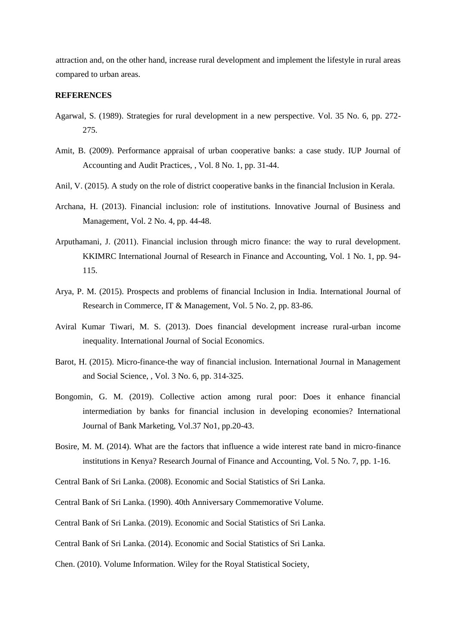attraction and, on the other hand, increase rural development and implement the lifestyle in rural areas compared to urban areas.

#### **REFERENCES**

- Agarwal, S. (1989). Strategies for rural development in a new perspective. Vol. 35 No. 6, pp. 272- 275.
- Amit, B. (2009). Performance appraisal of urban cooperative banks: a case study. IUP Journal of Accounting and Audit Practices, , Vol. 8 No. 1, pp. 31-44.
- Anil, V. (2015). A study on the role of district cooperative banks in the financial Inclusion in Kerala.
- Archana, H. (2013). Financial inclusion: role of institutions. Innovative Journal of Business and Management, Vol. 2 No. 4, pp. 44-48.
- Arputhamani, J. (2011). Financial inclusion through micro finance: the way to rural development. KKIMRC International Journal of Research in Finance and Accounting, Vol. 1 No. 1, pp. 94- 115.
- Arya, P. M. (2015). Prospects and problems of financial Inclusion in India. International Journal of Research in Commerce, IT & Management, Vol. 5 No. 2, pp. 83-86.
- Aviral Kumar Tiwari, M. S. (2013). Does financial development increase rural-urban income inequality. International Journal of Social Economics.
- Barot, H. (2015). Micro-finance-the way of financial inclusion. International Journal in Management and Social Science, , Vol. 3 No. 6, pp. 314-325.
- Bongomin, G. M. (2019). Collective action among rural poor: Does it enhance financial intermediation by banks for financial inclusion in developing economies? International Journal of Bank Marketing, Vol.37 No1, pp.20-43.
- Bosire, M. M. (2014). What are the factors that influence a wide interest rate band in micro-finance institutions in Kenya? Research Journal of Finance and Accounting, Vol. 5 No. 7, pp. 1-16.

- Central Bank of Sri Lanka. (1990). 40th Anniversary Commemorative Volume.
- Central Bank of Sri Lanka. (2019). Economic and Social Statistics of Sri Lanka.
- Central Bank of Sri Lanka. (2014). Economic and Social Statistics of Sri Lanka.
- Chen. (2010). Volume Information. Wiley for the Royal Statistical Society,

Central Bank of Sri Lanka. (2008). Economic and Social Statistics of Sri Lanka.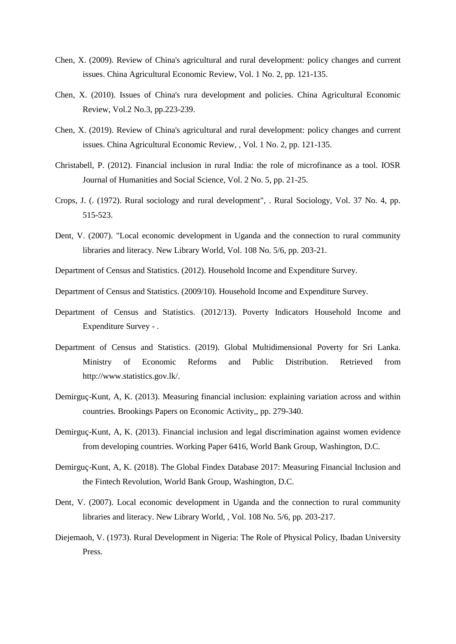- Chen, X. (2009). Review of China's agricultural and rural development: policy changes and current issues. China Agricultural Economic Review, Vol. 1 No. 2, pp. 121-135.
- Chen, X. (2010). Issues of China's rura development and policies. China Agricultural Economic Review, Vol.2 No.3, pp.223-239.
- Chen, X. (2019). Review of China's agricultural and rural development: policy changes and current issues. China Agricultural Economic Review, , Vol. 1 No. 2, pp. 121-135.
- Christabell, P. (2012). Financial inclusion in rural India: the role of microfinance as a tool. IOSR Journal of Humanities and Social Science, Vol. 2 No. 5, pp. 21-25.
- Crops, J. (. (1972). Rural sociology and rural development", . Rural Sociology, Vol. 37 No. 4, pp. 515-523.
- Dent, V. (2007). "Local economic development in Uganda and the connection to rural community libraries and literacy. New Library World, Vol. 108 No. 5/6, pp. 203-21.
- Department of Census and Statistics. (2012). Household Income and Expenditure Survey.
- Department of Census and Statistics. (2009/10). Household Income and Expenditure Survey.
- Department of Census and Statistics. (2012/13). Poverty Indicators Household Income and Expenditure Survey - .
- Department of Census and Statistics. (2019). Global Multidimensional Poverty for Sri Lanka. Ministry of Economic Reforms and Public Distribution. Retrieved from http://www.statistics.gov.lk/.
- Demirguç-Kunt, A, K. (2013). Measuring financial inclusion: explaining variation across and within countries. Brookings Papers on Economic Activity,, pp. 279-340.
- Demirguç-Kunt, A, K. (2013). Financial inclusion and legal discrimination against women evidence from developing countries. Working Paper 6416, World Bank Group, Washington, D.C.
- Demirguç-Kunt, A, K. (2018). The Global Findex Database 2017: Measuring Financial Inclusion and the Fintech Revolution, World Bank Group, Washington, D.C.
- Dent, V. (2007). Local economic development in Uganda and the connection to rural community libraries and literacy. New Library World, , Vol. 108 No. 5/6, pp. 203-217.
- Diejemaoh, V. (1973). Rural Development in Nigeria: The Role of Physical Policy, Ibadan University Press.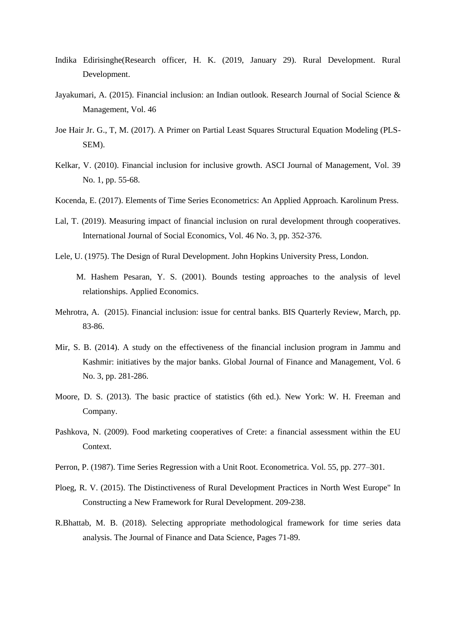- Indika Edirisinghe(Research officer, H. K. (2019, January 29). Rural Development. Rural Development.
- Jayakumari, A. (2015). Financial inclusion: an Indian outlook. Research Journal of Social Science & Management, Vol. 46
- Joe Hair Jr. G., T, M. (2017). A Primer on Partial Least Squares Structural Equation Modeling (PLS-SEM).
- Kelkar, V. (2010). Financial inclusion for inclusive growth. ASCI Journal of Management, Vol. 39 No. 1, pp. 55-68.
- Kocenda, E. (2017). Elements of Time Series Econometrics: An Applied Approach. Karolinum Press.
- Lal, T. (2019). Measuring impact of financial inclusion on rural development through cooperatives. International Journal of Social Economics, Vol. 46 No. 3, pp. 352-376.
- Lele, U. (1975). The Design of Rural Development. John Hopkins University Press, London.
	- M. Hashem Pesaran, Y. S. (2001). Bounds testing approaches to the analysis of level relationships. Applied Economics.
- Mehrotra, A. (2015). Financial inclusion: issue for central banks. BIS Quarterly Review, March, pp. 83-86.
- Mir, S. B. (2014). A study on the effectiveness of the financial inclusion program in Jammu and Kashmir: initiatives by the major banks. Global Journal of Finance and Management, Vol. 6 No. 3, pp. 281-286.
- Moore, D. S. (2013). The basic practice of statistics (6th ed.). New York: W. H. Freeman and Company.
- Pashkova, N. (2009). Food marketing cooperatives of Crete: a financial assessment within the EU Context.
- Perron, P. (1987). Time Series Regression with a Unit Root. Econometrica. Vol. 55, pp. 277–301.
- Ploeg, R. V. (2015). The Distinctiveness of Rural Development Practices in North West Europe" In Constructing a New Framework for Rural Development. 209-238.
- R.Bhattab, M. B. (2018). Selecting appropriate methodological framework for time series data analysis. The Journal of Finance and Data Science, Pages 71-89.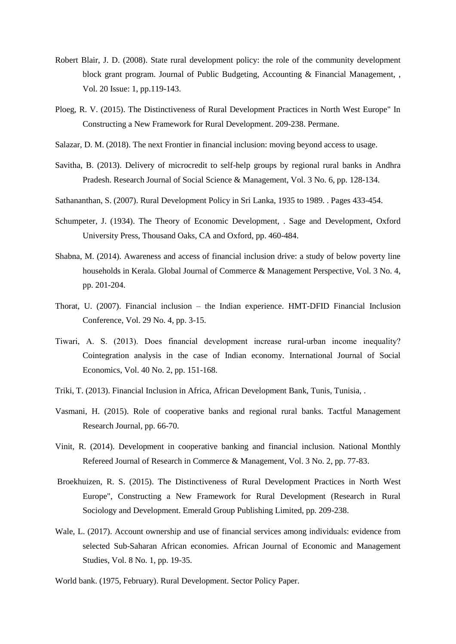- Robert Blair, J. D. (2008). State rural development policy: the role of the community development block grant program. Journal of Public Budgeting, Accounting & Financial Management, , Vol. 20 Issue: 1, pp.119-143.
- Ploeg, R. V. (2015). The Distinctiveness of Rural Development Practices in North West Europe" In Constructing a New Framework for Rural Development. 209-238. Permane.
- Salazar, D. M. (2018). The next Frontier in financial inclusion: moving beyond access to usage.
- Savitha, B. (2013). Delivery of microcredit to self-help groups by regional rural banks in Andhra Pradesh. Research Journal of Social Science & Management, Vol. 3 No. 6, pp. 128-134.
- Sathananthan, S. (2007). Rural Development Policy in Sri Lanka, 1935 to 1989. . Pages 433-454.
- Schumpeter, J. (1934). The Theory of Economic Development, . Sage and Development, Oxford University Press, Thousand Oaks, CA and Oxford, pp. 460-484.
- Shabna, M. (2014). Awareness and access of financial inclusion drive: a study of below poverty line households in Kerala. Global Journal of Commerce & Management Perspective, Vol. 3 No. 4, pp. 201-204.
- Thorat, U. (2007). Financial inclusion the Indian experience. HMT-DFID Financial Inclusion Conference, Vol. 29 No. 4, pp. 3-15.
- Tiwari, A. S. (2013). Does financial development increase rural‐urban income inequality? Cointegration analysis in the case of Indian economy. International Journal of Social Economics, Vol. 40 No. 2, pp. 151-168.
- Triki, T. (2013). Financial Inclusion in Africa, African Development Bank, Tunis, Tunisia, .
- Vasmani, H. (2015). Role of cooperative banks and regional rural banks. Tactful Management Research Journal, pp. 66-70.
- Vinit, R. (2014). Development in cooperative banking and financial inclusion. National Monthly Refereed Journal of Research in Commerce & Management, Vol. 3 No. 2, pp. 77-83.
- Broekhuizen, R. S. (2015). The Distinctiveness of Rural Development Practices in North West Europe", Constructing a New Framework for Rural Development (Research in Rural Sociology and Development. Emerald Group Publishing Limited, pp. 209-238.
- Wale, L. (2017). Account ownership and use of financial services among individuals: evidence from selected Sub-Saharan African economies. African Journal of Economic and Management Studies, Vol. 8 No. 1, pp. 19-35.
- World bank. (1975, February). Rural Development. Sector Policy Paper.